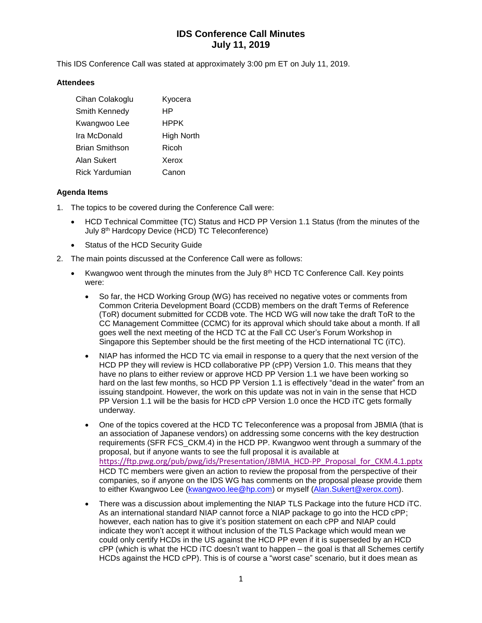# **IDS Conference Call Minutes July 11, 2019**

This IDS Conference Call was stated at approximately 3:00 pm ET on July 11, 2019.

#### **Attendees**

| Cihan Colakoglu       | Kyocera    |
|-----------------------|------------|
| Smith Kennedy         | НP         |
| Kwangwoo Lee          | HPPK       |
| Ira McDonald          | High North |
| <b>Brian Smithson</b> | Ricoh      |
| Alan Sukert           | Xerox      |
| Rick Yardumian        | Canon      |

### **Agenda Items**

- 1. The topics to be covered during the Conference Call were:
	- HCD Technical Committee (TC) Status and HCD PP Version 1.1 Status (from the minutes of the July 8<sup>th</sup> Hardcopy Device (HCD) TC Teleconference)
	- Status of the HCD Security Guide
- 2. The main points discussed at the Conference Call were as follows:
	- Kwangwoo went through the minutes from the July 8<sup>th</sup> HCD TC Conference Call. Key points were:
		- So far, the HCD Working Group (WG) has received no negative votes or comments from Common Criteria Development Board (CCDB) members on the draft Terms of Reference (ToR) document submitted for CCDB vote. The HCD WG will now take the draft ToR to the CC Management Committee (CCMC) for its approval which should take about a month. If all goes well the next meeting of the HCD TC at the Fall CC User's Forum Workshop in Singapore this September should be the first meeting of the HCD international TC (iTC).
		- NIAP has informed the HCD TC via email in response to a query that the next version of the HCD PP they will review is HCD collaborative PP (cPP) Version 1.0. This means that they have no plans to either review or approve HCD PP Version 1.1 we have been working so hard on the last few months, so HCD PP Version 1.1 is effectively "dead in the water" from an issuing standpoint. However, the work on this update was not in vain in the sense that HCD PP Version 1.1 will be the basis for HCD cPP Version 1.0 once the HCD iTC gets formally underway.
		- One of the topics covered at the HCD TC Teleconference was a proposal from JBMIA (that is an association of Japanese vendors) on addressing some concerns with the key destruction requirements (SFR FCS\_CKM.4) in the HCD PP. Kwangwoo went through a summary of the proposal, but if anyone wants to see the full proposal it is available at [https://ftp.pwg.org/pub/pwg/ids/Presentation/JBMIA\\_HCD-PP\\_Proposal\\_for\\_CKM.4.1.pptx](https://ftp.pwg.org/pub/pwg/ids/Presentation/JBMIA_HCD-PP_Proposal_for_CKM.4.1.pptx) HCD TC members were given an action to review the proposal from the perspective of their companies, so if anyone on the IDS WG has comments on the proposal please provide them to either Kwangwoo Lee [\(kwangwoo.lee@hp.com\)](mailto:kwangwoo.lee@hp.com) or myself [\(Alan.Sukert@xerox.com\)](mailto:Alan.Sukert@xerox.com).
		- There was a discussion about implementing the NIAP TLS Package into the future HCD iTC. As an international standard NIAP cannot force a NIAP package to go into the HCD cPP; however, each nation has to give it's position statement on each cPP and NIAP could indicate they won't accept it without inclusion of the TLS Package which would mean we could only certify HCDs in the US against the HCD PP even if it is superseded by an HCD cPP (which is what the HCD iTC doesn't want to happen – the goal is that all Schemes certify HCDs against the HCD cPP). This is of course a "worst case" scenario, but it does mean as